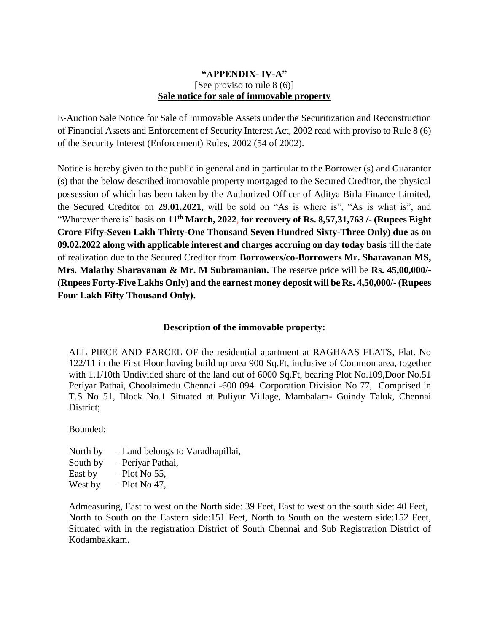## **"APPENDIX- IV-A"** [See proviso to rule 8 (6)] **Sale notice for sale of immovable property**

E-Auction Sale Notice for Sale of Immovable Assets under the Securitization and Reconstruction of Financial Assets and Enforcement of Security Interest Act, 2002 read with proviso to Rule 8 (6) of the Security Interest (Enforcement) Rules, 2002 (54 of 2002).

Notice is hereby given to the public in general and in particular to the Borrower (s) and Guarantor (s) that the below described immovable property mortgaged to the Secured Creditor, the physical possession of which has been taken by the Authorized Officer of Aditya Birla Finance Limited*,*  the Secured Creditor on **29.01.2021**, will be sold on "As is where is", "As is what is", and "Whatever there is" basis on **11th March, 2022**, **for recovery of Rs. 8,57,31,763 /- (Rupees Eight Crore Fifty-Seven Lakh Thirty-One Thousand Seven Hundred Sixty-Three Only) due as on 09.02.2022 along with applicable interest and charges accruing on day today basis** till the date of realization due to the Secured Creditor from **Borrowers/co-Borrowers Mr. Sharavanan MS, Mrs. Malathy Sharavanan & Mr. M Subramanian.** The reserve price will be **Rs. 45,00,000/- (Rupees Forty-Five Lakhs Only) and the earnest money deposit will be Rs. 4,50,000/- (Rupees Four Lakh Fifty Thousand Only).**

## **Description of the immovable property:**

ALL PIECE AND PARCEL OF the residential apartment at RAGHAAS FLATS, Flat. No 122/11 in the First Floor having build up area 900 Sq.Ft, inclusive of Common area, together with 1.1/10th Undivided share of the land out of 6000 Sq.Ft, bearing Plot No.109, Door No.51 Periyar Pathai, Choolaimedu Chennai -600 094. Corporation Division No 77, Comprised in T.S No 51, Block No.1 Situated at Puliyur Village, Mambalam- Guindy Taluk, Chennai District;

Bounded:

- North by Land belongs to Varadhapillai,
- South by Periyar Pathai,
- East by  $-$  Plot No 55,
- West by  $-$  Plot No.47,

Admeasuring, East to west on the North side: 39 Feet, East to west on the south side: 40 Feet, North to South on the Eastern side:151 Feet, North to South on the western side:152 Feet, Situated with in the registration District of South Chennai and Sub Registration District of Kodambakkam.